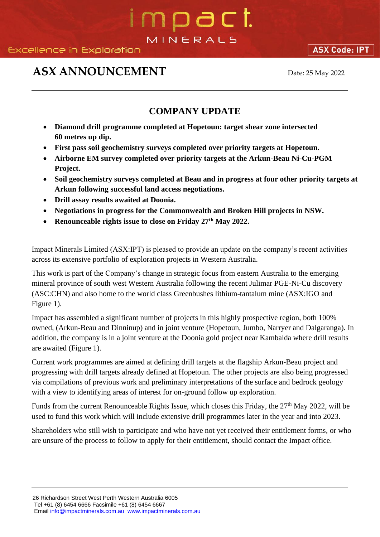# mpact. MINERALS

## **ASX ANNOUNCEMENT** Date: 25 May 2022

**ASX Code: IPT** 

### **COMPANY UPDATE**

- **Diamond drill programme completed at Hopetoun: target shear zone intersected 60 metres up dip.**
- **First pass soil geochemistry surveys completed over priority targets at Hopetoun.**
- **Airborne EM survey completed over priority targets at the Arkun-Beau Ni-Cu-PGM Project.**
- **Soil geochemistry surveys completed at Beau and in progress at four other priority targets at Arkun following successful land access negotiations.**
- **Drill assay results awaited at Doonia.**
- **Negotiations in progress for the Commonwealth and Broken Hill projects in NSW.**
- **Renounceable rights issue to close on Friday 27th May 2022.**

Impact Minerals Limited (ASX:IPT) is pleased to provide an update on the company's recent activities across its extensive portfolio of exploration projects in Western Australia.

This work is part of the Company's change in strategic focus from eastern Australia to the emerging mineral province of south west Western Australia following the recent Julimar PGE-Ni-Cu discovery (ASC:CHN) and also home to the world class Greenbushes lithium-tantalum mine (ASX:IGO and Figure 1).

Impact has assembled a significant number of projects in this highly prospective region, both 100% owned, (Arkun-Beau and Dinninup) and in joint venture (Hopetoun, Jumbo, Narryer and Dalgaranga). In addition, the company is in a joint venture at the Doonia gold project near Kambalda where drill results are awaited (Figure 1).

Current work programmes are aimed at defining drill targets at the flagship Arkun-Beau project and progressing with drill targets already defined at Hopetoun. The other projects are also being progressed via compilations of previous work and preliminary interpretations of the surface and bedrock geology with a view to identifying areas of interest for on-ground follow up exploration.

Funds from the current Renounceable Rights Issue, which closes this Friday, the 27<sup>th</sup> May 2022, will be used to fund this work which will include extensive drill programmes later in the year and into 2023.

Shareholders who still wish to participate and who have not yet received their entitlement forms, or who are unsure of the process to follow to apply for their entitlement, should contact the Impact office.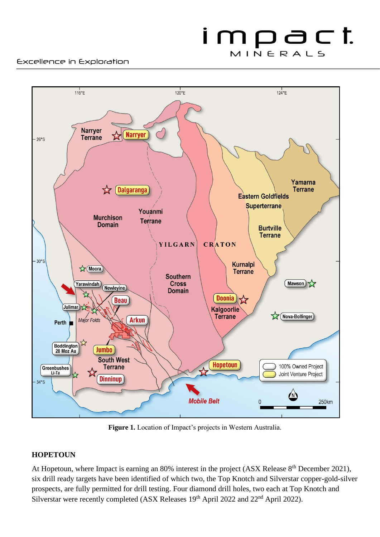#### Excellence in Exploration



**Figure 1.** Location of Impact's projects in Western Australia.

#### **HOPETOUN**

At Hopetoun, where Impact is earning an 80% interest in the project (ASX Release 8<sup>th</sup> December 2021), six drill ready targets have been identified of which two, the Top Knotch and Silverstar copper-gold-silver prospects, are fully permitted for drill testing. Four diamond drill holes, two each at Top Knotch and Silverstar were recently completed (ASX Releases 19<sup>th</sup> April 2022 and 22<sup>nd</sup> April 2022).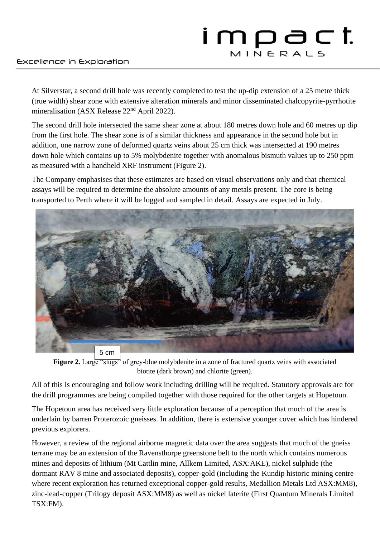## impact MINERALS

#### Excellence in Exploration

At Silverstar, a second drill hole was recently completed to test the up-dip extension of a 25 metre thick (true width) shear zone with extensive alteration minerals and minor disseminated chalcopyrite-pyrrhotite mineralisation (ASX Release 22<sup>nd</sup> April 2022).

The second drill hole intersected the same shear zone at about 180 metres down hole and 60 metres up dip from the first hole. The shear zone is of a similar thickness and appearance in the second hole but in addition, one narrow zone of deformed quartz veins about 25 cm thick was intersected at 190 metres down hole which contains up to 5% molybdenite together with anomalous bismuth values up to 250 ppm as measured with a handheld XRF instrument (Figure 2).

The Company emphasises that these estimates are based on visual observations only and that chemical assays will be required to determine the absolute amounts of any metals present. The core is being transported to Perth where it will be logged and sampled in detail. Assays are expected in July.



**Figure 2.** Large "slugs" of grey-blue molybdenite in a zone of fractured quartz veins with associated biotite (dark brown) and chlorite (green).

All of this is encouraging and follow work including drilling will be required. Statutory approvals are for the drill programmes are being compiled together with those required for the other targets at Hopetoun.

The Hopetoun area has received very little exploration because of a perception that much of the area is underlain by barren Proterozoic gneisses. In addition, there is extensive younger cover which has hindered previous explorers.

However, a review of the regional airborne magnetic data over the area suggests that much of the gneiss terrane may be an extension of the Ravensthorpe greenstone belt to the north which contains numerous mines and deposits of lithium (Mt Cattlin mine, Allkem Limited, ASX:AKE), nickel sulphide (the dormant RAV 8 mine and associated deposits), copper-gold (including the Kundip historic mining centre where recent exploration has returned exceptional copper-gold results, Medallion Metals Ltd ASX:MM8), zinc-lead-copper (Trilogy deposit ASX:MM8) as well as nickel laterite (First Quantum Minerals Limited TSX:FM).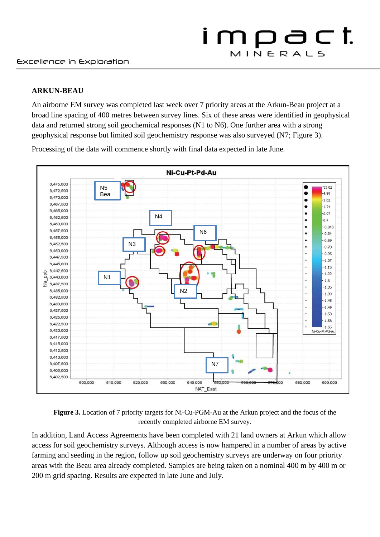#### **ARKUN-BEAU**

An airborne EM survey was completed last week over 7 priority areas at the Arkun-Beau project at a broad line spacing of 400 metres between survey lines. Six of these areas were identified in geophysical data and returned strong soil geochemical responses (N1 to N6). One further area with a strong geophysical response but limited soil geochemistry response was also surveyed (N7; Figure 3).

Processing of the data will commence shortly with final data expected in late June.



**Figure 3.** Location of 7 priority targets for Ni-Cu-PGM-Au at the Arkun project and the focus of the recently completed airborne EM survey.

In addition, Land Access Agreements have been completed with 21 land owners at Arkun which allow access for soil geochemistry surveys. Although access is now hampered in a number of areas by active farming and seeding in the region, follow up soil geochemistry surveys are underway on four priority areas with the Beau area already completed. Samples are being taken on a nominal 400 m by 400 m or 200 m grid spacing. Results are expected in late June and July.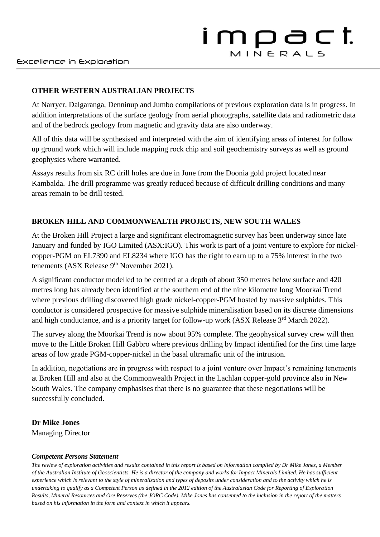### **OTHER WESTERN AUSTRALIAN PROJECTS**

At Narryer, Dalgaranga, Denninup and Jumbo compilations of previous exploration data is in progress. In addition interpretations of the surface geology from aerial photographs, satellite data and radiometric data and of the bedrock geology from magnetic and gravity data are also underway.

All of this data will be synthesised and interpreted with the aim of identifying areas of interest for follow up ground work which will include mapping rock chip and soil geochemistry surveys as well as ground geophysics where warranted.

Assays results from six RC drill holes are due in June from the Doonia gold project located near Kambalda. The drill programme was greatly reduced because of difficult drilling conditions and many areas remain to be drill tested.

### **BROKEN HILL AND COMMONWEALTH PROJECTS, NEW SOUTH WALES**

At the Broken Hill Project a large and significant electromagnetic survey has been underway since late January and funded by IGO Limited (ASX:IGO). This work is part of a joint venture to explore for nickelcopper-PGM on EL7390 and EL8234 where IGO has the right to earn up to a 75% interest in the two tenements (ASX Release 9<sup>th</sup> November 2021).

A significant conductor modelled to be centred at a depth of about 350 metres below surface and 420 metres long has already been identified at the southern end of the nine kilometre long Moorkai Trend where previous drilling discovered high grade nickel-copper-PGM hosted by massive sulphides. This conductor is considered prospective for massive sulphide mineralisation based on its discrete dimensions and high conductance, and is a priority target for follow-up work (ASX Release 3<sup>rd</sup> March 2022).

The survey along the Moorkai Trend is now about 95% complete. The geophysical survey crew will then move to the Little Broken Hill Gabbro where previous drilling by Impact identified for the first time large areas of low grade PGM-copper-nickel in the basal ultramafic unit of the intrusion.

In addition, negotiations are in progress with respect to a joint venture over Impact's remaining tenements at Broken Hill and also at the Commonwealth Project in the Lachlan copper-gold province also in New South Wales. The company emphasises that there is no guarantee that these negotiations will be successfully concluded.

### **Dr Mike Jones**

Managing Director

### *Competent Persons Statement*

*The review of exploration activities and results contained in this report is based on information compiled by Dr Mike Jones, a Member of the Australian Institute of Geoscientists. He is a director of the company and works for Impact Minerals Limited. He has sufficient experience which is relevant to the style of mineralisation and types of deposits under consideration and to the activity which he is undertaking to qualify as a Competent Person as defined in the 2012 edition of the Australasian Code for Reporting of Exploration Results, Mineral Resources and Ore Reserves (the JORC Code). Mike Jones has consented to the inclusion in the report of the matters based on his information in the form and context in which it appears.*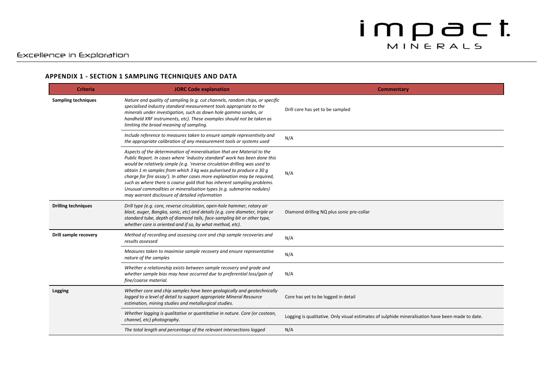#### Excellence in Exploration

#### **APPENDIX 1 - SECTION 1 SAMPLING TECHNIQUES AND DATA**

| <b>Criteria</b>            | <b>JORC Code explanation</b>                                                                                                                                                                                                                                                                                                                                                                                                                                                                                                                                                                | Commentary                                                                                       |
|----------------------------|---------------------------------------------------------------------------------------------------------------------------------------------------------------------------------------------------------------------------------------------------------------------------------------------------------------------------------------------------------------------------------------------------------------------------------------------------------------------------------------------------------------------------------------------------------------------------------------------|--------------------------------------------------------------------------------------------------|
| <b>Sampling techniques</b> | Nature and quality of sampling (e.g. cut channels, random chips, or specific<br>specialised industry standard measurement tools appropriate to the<br>minerals under investigation, such as down hole gamma sondes, or<br>handheld XRF instruments, etc). These examples should not be taken as<br>limiting the broad meaning of sampling.                                                                                                                                                                                                                                                  | Drill core has yet to be sampled                                                                 |
|                            | Include reference to measures taken to ensure sample representivity and<br>the appropriate calibration of any measurement tools or systems used                                                                                                                                                                                                                                                                                                                                                                                                                                             | N/A                                                                                              |
|                            | Aspects of the determination of mineralisation that are Material to the<br>Public Report. In cases where 'industry standard' work has been done this<br>would be relatively simple (e.g. 'reverse circulation drilling was used to<br>obtain 1 m samples from which 3 kg was pulverised to produce a 30 g<br>charge for fire assay'). In other cases more explanation may be required,<br>such as where there is coarse gold that has inherent sampling problems.<br>Unusual commodities or mineralisation types (e.g. submarine nodules)<br>may warrant disclosure of detailed information | N/A                                                                                              |
| <b>Drilling techniques</b> | Drill type (e.g. core, reverse circulation, open-hole hammer, rotary air<br>blast, auger, Bangka, sonic, etc) and details (e.g. core diameter, triple or<br>standard tube, depth of diamond tails, face-sampling bit or other type,<br>whether core is oriented and if so, by what method, etc).                                                                                                                                                                                                                                                                                            | Diamond drilling NQ plus sonic pre-collar                                                        |
| Drill sample recovery      | Method of recording and assessing core and chip sample recoveries and<br>results assessed                                                                                                                                                                                                                                                                                                                                                                                                                                                                                                   | N/A                                                                                              |
|                            | Measures taken to maximise sample recovery and ensure representative<br>nature of the samples                                                                                                                                                                                                                                                                                                                                                                                                                                                                                               | N/A                                                                                              |
|                            | Whether a relationship exists between sample recovery and grade and<br>whether sample bias may have occurred due to preferential loss/gain of<br>fine/coarse material.                                                                                                                                                                                                                                                                                                                                                                                                                      | N/A                                                                                              |
| Logging                    | Whether core and chip samples have been geologically and geotechnically<br>logged to a level of detail to support appropriate Mineral Resource<br>estimation, mining studies and metallurgical studies.                                                                                                                                                                                                                                                                                                                                                                                     | Core has yet to be logged in detail                                                              |
|                            | Whether logging is qualitative or quantitative in nature. Core (or costean,<br>channel, etc) photography.                                                                                                                                                                                                                                                                                                                                                                                                                                                                                   | Logging is qualitative. Only visual estimates of sulphide mineralisation have been made to date. |
|                            | The total length and percentage of the relevant intersections logged                                                                                                                                                                                                                                                                                                                                                                                                                                                                                                                        | N/A                                                                                              |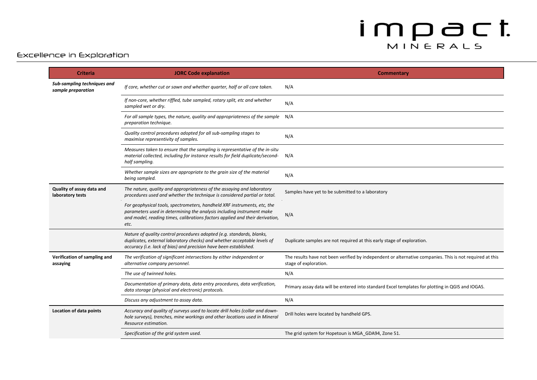#### Excellence in Exploration

| <b>Criteria</b>                                   | <b>JORC Code explanation</b>                                                                                                                                                                                                              | <b>Commentary</b>                                                                                                                 |
|---------------------------------------------------|-------------------------------------------------------------------------------------------------------------------------------------------------------------------------------------------------------------------------------------------|-----------------------------------------------------------------------------------------------------------------------------------|
| Sub-sampling techniques and<br>sample preparation | If core, whether cut or sawn and whether quarter, half or all core taken.                                                                                                                                                                 | N/A                                                                                                                               |
|                                                   | If non-core, whether riffled, tube sampled, rotary split, etc and whether<br>sampled wet or dry.                                                                                                                                          | N/A                                                                                                                               |
|                                                   | For all sample types, the nature, quality and appropriateness of the sample N/A<br>preparation technique.                                                                                                                                 |                                                                                                                                   |
|                                                   | Quality control procedures adopted for all sub-sampling stages to<br>maximise representivity of samples.                                                                                                                                  | N/A                                                                                                                               |
|                                                   | Measures taken to ensure that the sampling is representative of the in-situ<br>material collected, including for instance results for field duplicate/second-<br>half sampling.                                                           | N/A                                                                                                                               |
|                                                   | Whether sample sizes are appropriate to the grain size of the material<br>being sampled.                                                                                                                                                  | N/A                                                                                                                               |
| Quality of assay data and<br>laboratory tests     | The nature, quality and appropriateness of the assaying and laboratory<br>procedures used and whether the technique is considered partial or total.                                                                                       | Samples have yet to be submitted to a laboratory                                                                                  |
|                                                   | For geophysical tools, spectrometers, handheld XRF instruments, etc, the<br>parameters used in determining the analysis including instrument make<br>and model, reading times, calibrations factors applied and their derivation,<br>etc. | N/A                                                                                                                               |
|                                                   | Nature of quality control procedures adopted (e.g. standards, blanks,<br>duplicates, external laboratory checks) and whether acceptable levels of<br>accuracy (i.e. lack of bias) and precision have been established.                    | Duplicate samples are not required at this early stage of exploration.                                                            |
| Verification of sampling and<br>assaying          | The verification of significant intersections by either independent or<br>alternative company personnel.                                                                                                                                  | The results have not been verified by independent or alternative companies. This is not required at this<br>stage of exploration. |
|                                                   | The use of twinned holes.                                                                                                                                                                                                                 | N/A                                                                                                                               |
|                                                   | Documentation of primary data, data entry procedures, data verification,<br>data storage (physical and electronic) protocols.                                                                                                             | Primary assay data will be entered into standard Excel templates for plotting in QGIS and IOGAS.                                  |
|                                                   | Discuss any adjustment to assay data.                                                                                                                                                                                                     | N/A                                                                                                                               |
| Location of data points                           | Accuracy and quality of surveys used to locate drill holes (collar and down-<br>hole surveys), trenches, mine workings and other locations used in Mineral<br>Resource estimation.                                                        | Drill holes were located by handheld GPS.                                                                                         |
|                                                   | Specification of the grid system used.                                                                                                                                                                                                    | The grid system for Hopetoun is MGA GDA94, Zone 51.                                                                               |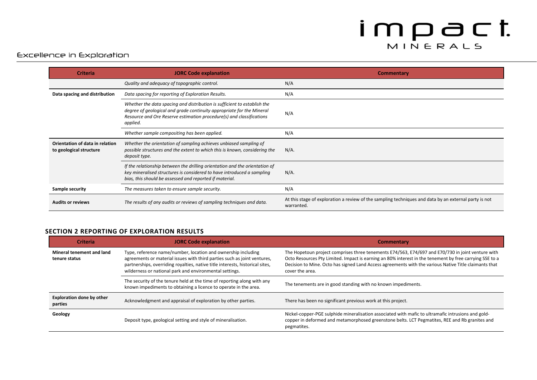#### Excellence in Exploration

| <b>Criteria</b>                                            | <b>JORC Code explanation</b>                                                                                                                                                                                                          | <b>Commentary</b>                                                                                                   |
|------------------------------------------------------------|---------------------------------------------------------------------------------------------------------------------------------------------------------------------------------------------------------------------------------------|---------------------------------------------------------------------------------------------------------------------|
|                                                            | Quality and adequacy of topographic control.                                                                                                                                                                                          | N/A                                                                                                                 |
| Data spacing and distribution                              | Data spacing for reporting of Exploration Results.                                                                                                                                                                                    | N/A                                                                                                                 |
|                                                            | Whether the data spacing and distribution is sufficient to establish the<br>degree of geological and grade continuity appropriate for the Mineral<br>Resource and Ore Reserve estimation procedure(s) and classifications<br>applied. | N/A                                                                                                                 |
|                                                            | Whether sample compositing has been applied.                                                                                                                                                                                          | N/A                                                                                                                 |
| Orientation of data in relation<br>to geological structure | Whether the orientation of sampling achieves unbiased sampling of<br>possible structures and the extent to which this is known, considering the<br>deposit type.                                                                      | $N/A$ .                                                                                                             |
|                                                            | If the relationship between the drilling orientation and the orientation of<br>key mineralised structures is considered to have introduced a sampling<br>bias, this should be assessed and reported if material.                      | $N/A$ .                                                                                                             |
| Sample security                                            | The measures taken to ensure sample security.                                                                                                                                                                                         | N/A                                                                                                                 |
| <b>Audits or reviews</b>                                   | The results of any audits or reviews of sampling techniques and data.                                                                                                                                                                 | At this stage of exploration a review of the sampling techniques and data by an external party is not<br>warranted. |

#### **SECTION 2 REPORTING OF EXPLORATION RESULTS**

| <b>Criteria</b>                             | <b>JORC Code explanation</b>                                                                                                                                                                                                                                                          | <b>Commentary</b>                                                                                                                                                                                                                                                                                                                        |
|---------------------------------------------|---------------------------------------------------------------------------------------------------------------------------------------------------------------------------------------------------------------------------------------------------------------------------------------|------------------------------------------------------------------------------------------------------------------------------------------------------------------------------------------------------------------------------------------------------------------------------------------------------------------------------------------|
| Mineral tenement and land<br>tenure status  | Type, reference name/number, location and ownership including<br>agreements or material issues with third parties such as joint ventures,<br>partnerships, overriding royalties, native title interests, historical sites,<br>wilderness or national park and environmental settings. | The Hopetoun project comprises three tenements E74/563, E74/697 and E70/730 in joint venture with<br>Octo Resources Pty Limited. Impact is earning an 80% interest in the tenement by free carrying SSE to a<br>Decision to Mine. Octo has signed Land Access agreements with the various Native Title claimants that<br>cover the area. |
|                                             | The security of the tenure held at the time of reporting along with any<br>known impediments to obtaining a licence to operate in the area.                                                                                                                                           | The tenements are in good standing with no known impediments.                                                                                                                                                                                                                                                                            |
| <b>Exploration done by other</b><br>parties | Acknowledgment and appraisal of exploration by other parties.                                                                                                                                                                                                                         | There has been no significant previous work at this project.                                                                                                                                                                                                                                                                             |
| Geology                                     | Deposit type, geological setting and style of mineralisation.                                                                                                                                                                                                                         | Nickel-copper-PGE sulphide mineralisation associated with mafic to ultramafic intrusions and gold-<br>copper in deformed and metamorphosed greenstone belts. LCT Pegmatites, REE and Rb granites and<br>pegmatites.                                                                                                                      |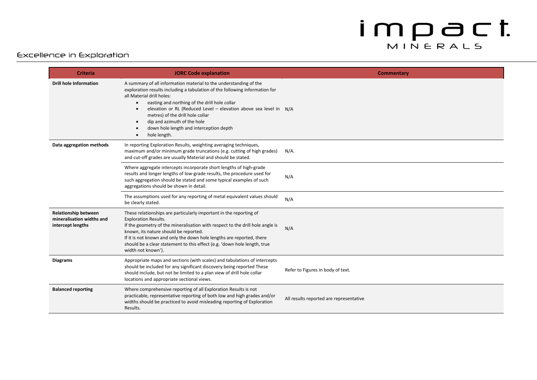#### Excellence in Exploration

| <b>Criteria</b>                                                               | <b>JORC Code explanation</b>                                                                                                                                                                                                                                                                                                                                                                                                                     | <b>Commentary</b>                       |
|-------------------------------------------------------------------------------|--------------------------------------------------------------------------------------------------------------------------------------------------------------------------------------------------------------------------------------------------------------------------------------------------------------------------------------------------------------------------------------------------------------------------------------------------|-----------------------------------------|
| <b>Drill hole Information</b>                                                 | A summary of all information material to the understanding of the<br>exploration results including a tabulation of the following information for<br>all Material drill holes:<br>easting and northing of the drill hole collar<br>$\bullet$<br>elevation or RL (Reduced Level – elevation above sea level in $N/A$<br>metres) of the drill hole collar<br>dip and azimuth of the hole<br>down hole length and interception depth<br>hole length. |                                         |
| Data aggregation methods                                                      | In reporting Exploration Results, weighting averaging techniques,<br>maximum and/or minimum grade truncations (e.g. cutting of high grades)<br>and cut-off grades are usually Material and should be stated.                                                                                                                                                                                                                                     | $N/A$ .                                 |
|                                                                               | Where aggregate intercepts incorporate short lengths of high-grade<br>results and longer lengths of low-grade results, the procedure used for<br>such aggregation should be stated and some typical examples of such<br>aggregations should be shown in detail.                                                                                                                                                                                  | N/A                                     |
|                                                                               | The assumptions used for any reporting of metal equivalent values should<br>be clearly stated.                                                                                                                                                                                                                                                                                                                                                   | N/A                                     |
| <b>Relationship between</b><br>mineralisation widths and<br>intercept lengths | These relationships are particularly important in the reporting of<br><b>Exploration Results.</b><br>If the geometry of the mineralisation with respect to the drill hole angle is<br>known, its nature should be reported.<br>If it is not known and only the down hole lengths are reported, there<br>should be a clear statement to this effect (e.g. 'down hole length, true<br>width not known').                                           | N/A                                     |
| <b>Diagrams</b>                                                               | Appropriate maps and sections (with scales) and tabulations of intercepts<br>should be included for any significant discovery being reported These<br>should include, but not be limited to a plan view of drill hole collar<br>locations and appropriate sectional views.                                                                                                                                                                       | Refer to Figures in body of text.       |
| <b>Balanced reporting</b>                                                     | Where comprehensive reporting of all Exploration Results is not<br>practicable, representative reporting of both low and high grades and/or<br>widths should be practiced to avoid misleading reporting of Exploration<br>Results.                                                                                                                                                                                                               | All results reported are representative |